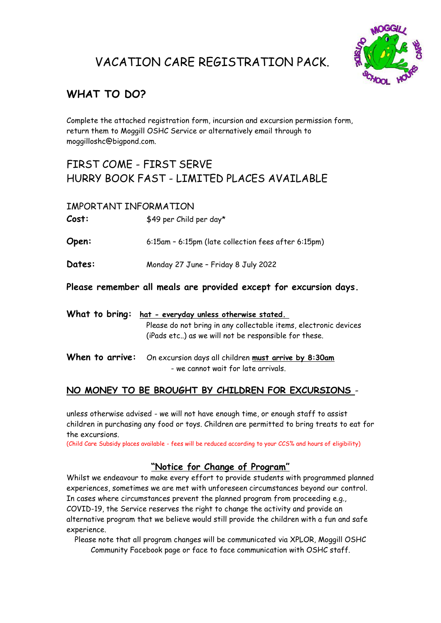## VACATION CARE REGISTRATION PACK.



## **WHAT TO DO?**

Complete the attached registration form, incursion and excursion permission form, return them to Moggill OSHC Service or alternatively email through to moggilloshc@bigpond.com.

### FIRST COME - FIRST SERVE HURRY BOOK FAST - LIMITED PLACES AVAILABLE

#### IMPORTANT INFORMATION

Cost:  $$49$  per Child per day\*

**Open:** 6:15am – 6:15pm (late collection fees after 6:15pm)

**Dates:** Monday 27 June – Friday 8 July 2022

**Please remember all meals are provided except for excursion days.**

| What to bring: hat - everyday unless otherwise stated.                                                                   |  |  |
|--------------------------------------------------------------------------------------------------------------------------|--|--|
| Please do not bring in any collectable items, electronic devices<br>(iPads etc) as we will not be responsible for these. |  |  |
| When to arrive: On excursion days all children must arrive by 8:30am<br>- we cannot wait for late arrivals.              |  |  |

#### **NO MONEY TO BE BROUGHT BY CHILDREN FOR EXCURSIONS** -

unless otherwise advised - we will not have enough time, or enough staff to assist children in purchasing any food or toys. Children are permitted to bring treats to eat for the excursions.

(Child Care Subsidy places available - fees will be reduced according to your CCS% and hours of eligibility)

#### **"Notice for Change of Program"**

Whilst we endeavour to make every effort to provide students with programmed planned experiences, sometimes we are met with unforeseen circumstances beyond our control. In cases where circumstances prevent the planned program from proceeding e.g., COVID-19, the Service reserves the right to change the activity and provide an alternative program that we believe would still provide the children with a fun and safe experience.

Please note that all program changes will be communicated via XPLOR, Moggill OSHC Community Facebook page or face to face communication with OSHC staff.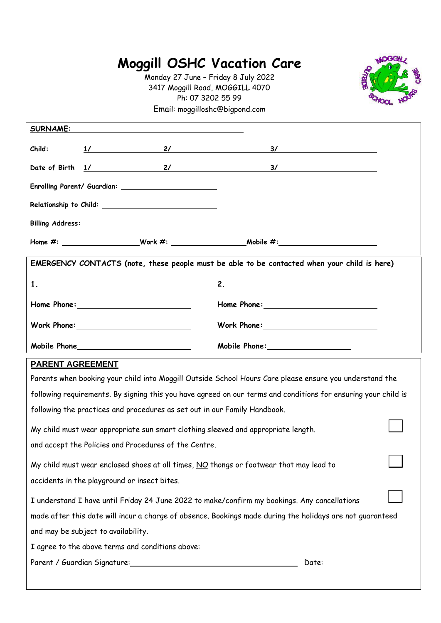# **Moggill OSHC Vacation Care**

Monday 27 June – Friday 8 July 2022 3417 Moggill Road, MOGGILL 4070 Ph: 07 3202 55 99 Email: moggilloshc@bigpond.com



| <b>SURNAME:</b>                                                                              |                                                                                                                |                                                                                                                |  |  |  |
|----------------------------------------------------------------------------------------------|----------------------------------------------------------------------------------------------------------------|----------------------------------------------------------------------------------------------------------------|--|--|--|
| Child:                                                                                       |                                                                                                                | $\frac{1}{\sqrt{2}}$ 2/ 3/                                                                                     |  |  |  |
|                                                                                              |                                                                                                                | Date of Birth 1/ 2/ 2/ 3/                                                                                      |  |  |  |
|                                                                                              | Enrolling Parent/ Guardian: ___________________________                                                        |                                                                                                                |  |  |  |
|                                                                                              |                                                                                                                |                                                                                                                |  |  |  |
|                                                                                              |                                                                                                                |                                                                                                                |  |  |  |
|                                                                                              |                                                                                                                |                                                                                                                |  |  |  |
|                                                                                              |                                                                                                                | EMERGENCY CONTACTS (note, these people must be able to be contacted when your child is here)                   |  |  |  |
|                                                                                              | 1. <u>_______________________________</u>                                                                      | 2.                                                                                                             |  |  |  |
|                                                                                              |                                                                                                                |                                                                                                                |  |  |  |
|                                                                                              | Work Phone: National Marian Maria Maria Maria Maria Maria Maria Maria Maria Maria Maria Maria Maria Maria Mari |                                                                                                                |  |  |  |
|                                                                                              |                                                                                                                | Mobile Phone: ___________________                                                                              |  |  |  |
| <b>PARENT AGREEMENT</b>                                                                      |                                                                                                                |                                                                                                                |  |  |  |
|                                                                                              |                                                                                                                | Parents when booking your child into Moggill Outside School Hours Care please ensure you understand the        |  |  |  |
|                                                                                              |                                                                                                                | following requirements. By signing this you have agreed on our terms and conditions for ensuring your child is |  |  |  |
|                                                                                              | following the practices and procedures as set out in our Family Handbook.                                      |                                                                                                                |  |  |  |
|                                                                                              | My child must wear appropriate sun smart clothing sleeved and appropriate length.                              |                                                                                                                |  |  |  |
|                                                                                              | and accept the Policies and Procedures of the Centre.                                                          |                                                                                                                |  |  |  |
|                                                                                              | My child must wear enclosed shoes at all times, NO thongs or footwear that may lead to                         |                                                                                                                |  |  |  |
| accidents in the playground or insect bites.                                                 |                                                                                                                |                                                                                                                |  |  |  |
| I understand I have until Friday 24 June 2022 to make/confirm my bookings. Any cancellations |                                                                                                                |                                                                                                                |  |  |  |

made after this date will incur a charge of absence. Bookings made during the holidays are not guaranteed

and may be subject to availability.

I agree to the above terms and conditions above:

Parent / Guardian Signature: Date: Date: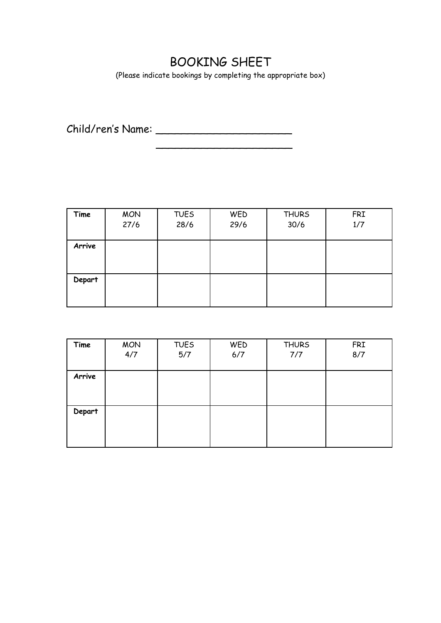## BOOKING SHEET

(Please indicate bookings by completing the appropriate box)

 $\overline{\phantom{a}}$  , which is a set of the set of the set of the set of the set of the set of the set of the set of the set of the set of the set of the set of the set of the set of the set of the set of the set of the set of th

Child/ren's Name: \_\_\_\_\_\_\_\_\_\_\_\_\_\_\_\_\_\_\_\_\_

| Time   | <b>MON</b><br>27/6 | <b>TUES</b><br>28/6 | WED<br>29/6 | <b>THURS</b><br>30/6 | <b>FRI</b><br>1/7 |
|--------|--------------------|---------------------|-------------|----------------------|-------------------|
| Arrive |                    |                     |             |                      |                   |
| Depart |                    |                     |             |                      |                   |

| Time   | <b>MON</b> | <b>TUES</b> | WED | <b>THURS</b> | <b>FRI</b> |
|--------|------------|-------------|-----|--------------|------------|
|        | 4/7        | 5/7         | 6/7 | 7/7          | 8/7        |
|        |            |             |     |              |            |
| Arrive |            |             |     |              |            |
|        |            |             |     |              |            |
|        |            |             |     |              |            |
|        |            |             |     |              |            |
| Depart |            |             |     |              |            |
|        |            |             |     |              |            |
|        |            |             |     |              |            |
|        |            |             |     |              |            |